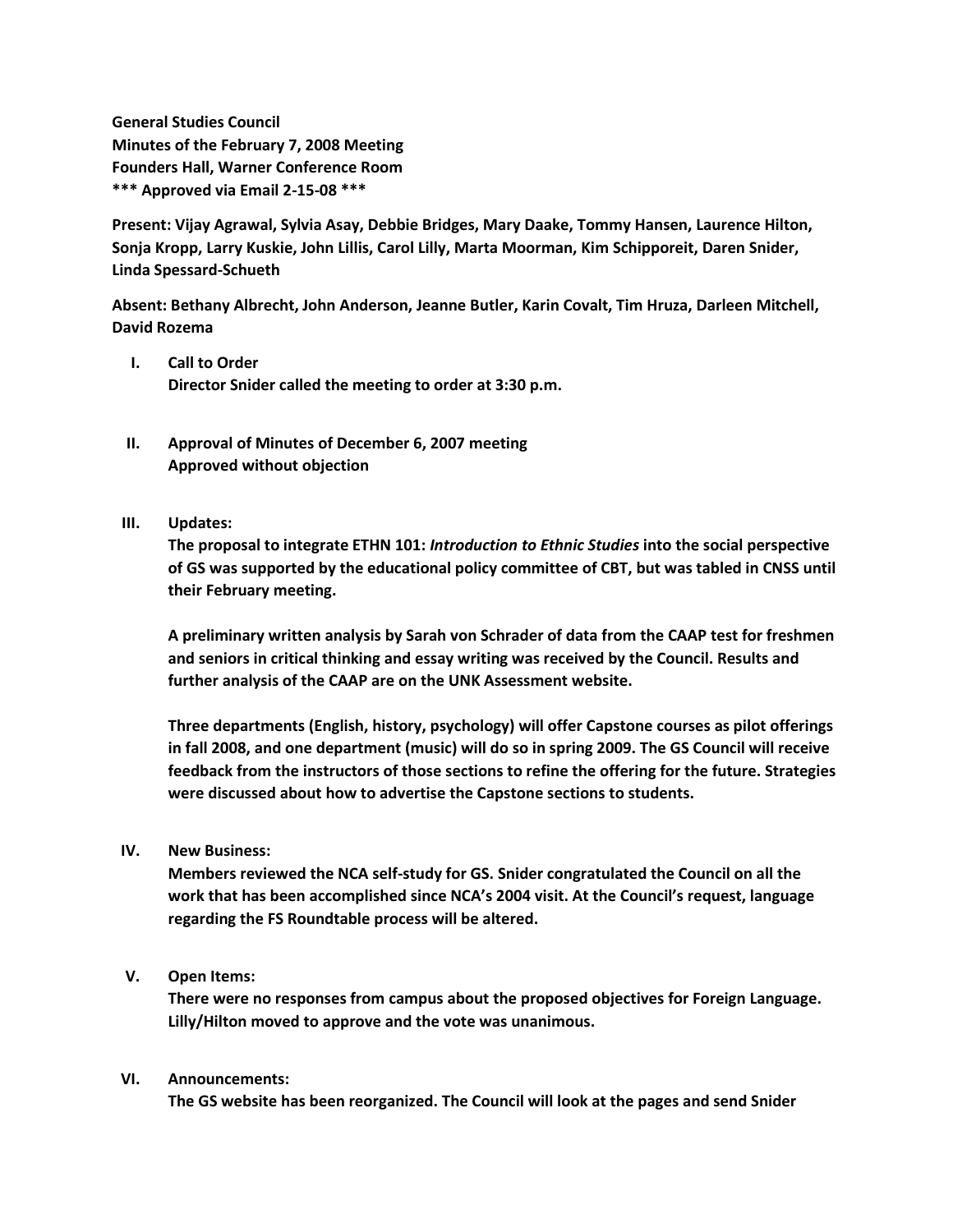**General Studies Council Minutes of the February 7, 2008 Meeting Founders Hall, Warner Conference Room \*\*\* Approved via Email 2-15-08 \*\*\***

**Present: Vijay Agrawal, Sylvia Asay, Debbie Bridges, Mary Daake, Tommy Hansen, Laurence Hilton, Sonja Kropp, Larry Kuskie, John Lillis, Carol Lilly, Marta Moorman, Kim Schipporeit, Daren Snider, Linda Spessard-Schueth**

**Absent: Bethany Albrecht, John Anderson, Jeanne Butler, Karin Covalt, Tim Hruza, Darleen Mitchell, David Rozema**

- **I. Call to Order Director Snider called the meeting to order at 3:30 p.m.**
- **II. Approval of Minutes of December 6, 2007 meeting Approved without objection**
- **III. Updates:**

**The proposal to integrate ETHN 101:** *Introduction to Ethnic Studies* **into the social perspective of GS was supported by the educational policy committee of CBT, but was tabled in CNSS until their February meeting.**

**A preliminary written analysis by Sarah von Schrader of data from the CAAP test for freshmen and seniors in critical thinking and essay writing was received by the Council. Results and further analysis of the CAAP are on the UNK Assessment website.**

**Three departments (English, history, psychology) will offer Capstone courses as pilot offerings in fall 2008, and one department (music) will do so in spring 2009. The GS Council will receive feedback from the instructors of those sections to refine the offering for the future. Strategies were discussed about how to advertise the Capstone sections to students.**

**IV. New Business:**

**Members reviewed the NCA self-study for GS. Snider congratulated the Council on all the work that has been accomplished since NCA's 2004 visit. At the Council's request, language regarding the FS Roundtable process will be altered.**

**V. Open Items:**

**There were no responses from campus about the proposed objectives for Foreign Language. Lilly/Hilton moved to approve and the vote was unanimous.**

## **VI. Announcements:**

**The GS website has been reorganized. The Council will look at the pages and send Snider**